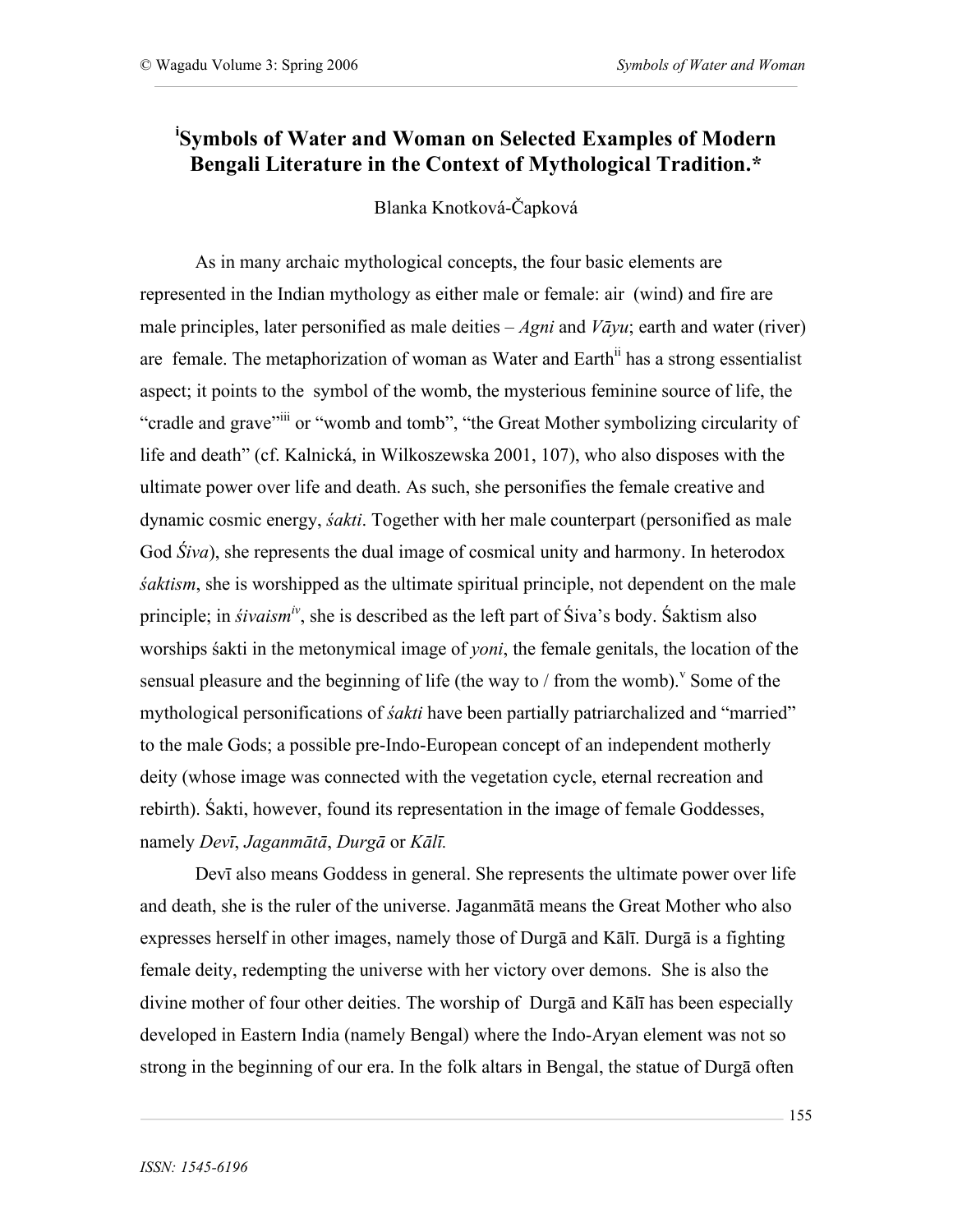## **i Symbols of Water and Woman on Selected Examples of Modern Bengali Literature in the Context of Mythological Tradition.\***

Blanka Knotková-Čapková

As in many archaic mythological concepts, the four basic elements are represented in the Indian mythology as either male or female: air (wind) and fire are male principles, later personified as male deities – *Agni* and *Vāyu*; earth and water (river) are female. The metaphorization of woman as Water and Earth<sup>ii</sup> has a strong essentialist aspect; it points to the symbol of the womb, the mysterious feminine source of life, the "cradle and grave"<sup>iii</sup> or "womb and tomb", "the Great Mother symbolizing circularity of life and death" (cf. Kalnická, in Wilkoszewska 2001, 107), who also disposes with the ultimate power over life and death. As such, she personifies the female creative and dynamic cosmic energy, *śakti*. Together with her male counterpart (personified as male God *Śiva*), she represents the dual image of cosmical unity and harmony. In heterodox *śaktism*, she is worshipped as the ultimate spiritual principle, not dependent on the male principle; in *śivaism<sup>iv</sup>*, she is described as the left part of Śiva's body. Śaktism also worships śakti in the metonymical image of *yoni*, the female genitals, the location of the sensual pleasure and the beginning of life (the way to  $/$  from the womb).<sup> $\vee$ </sup> Some of the mythological personifications of *śakti* have been partially patriarchalized and "married" to the male Gods; a possible pre-Indo-European concept of an independent motherly deity (whose image was connected with the vegetation cycle, eternal recreation and rebirth). Śakti, however, found its representation in the image of female Goddesses, namely *Devī*, *Jaganmātā*, *Durgā* or *Kālī.*

Devī also means Goddess in general. She represents the ultimate power over life and death, she is the ruler of the universe. Jaganmātā means the Great Mother who also expresses herself in other images, namely those of Durgā and Kālī. Durgā is a fighting female deity, redempting the universe with her victory over demons. She is also the divine mother of four other deities. The worship of Durgā and Kālī has been especially developed in Eastern India (namely Bengal) where the Indo-Aryan element was not so strong in the beginning of our era. In the folk altars in Bengal, the statue of Durgā often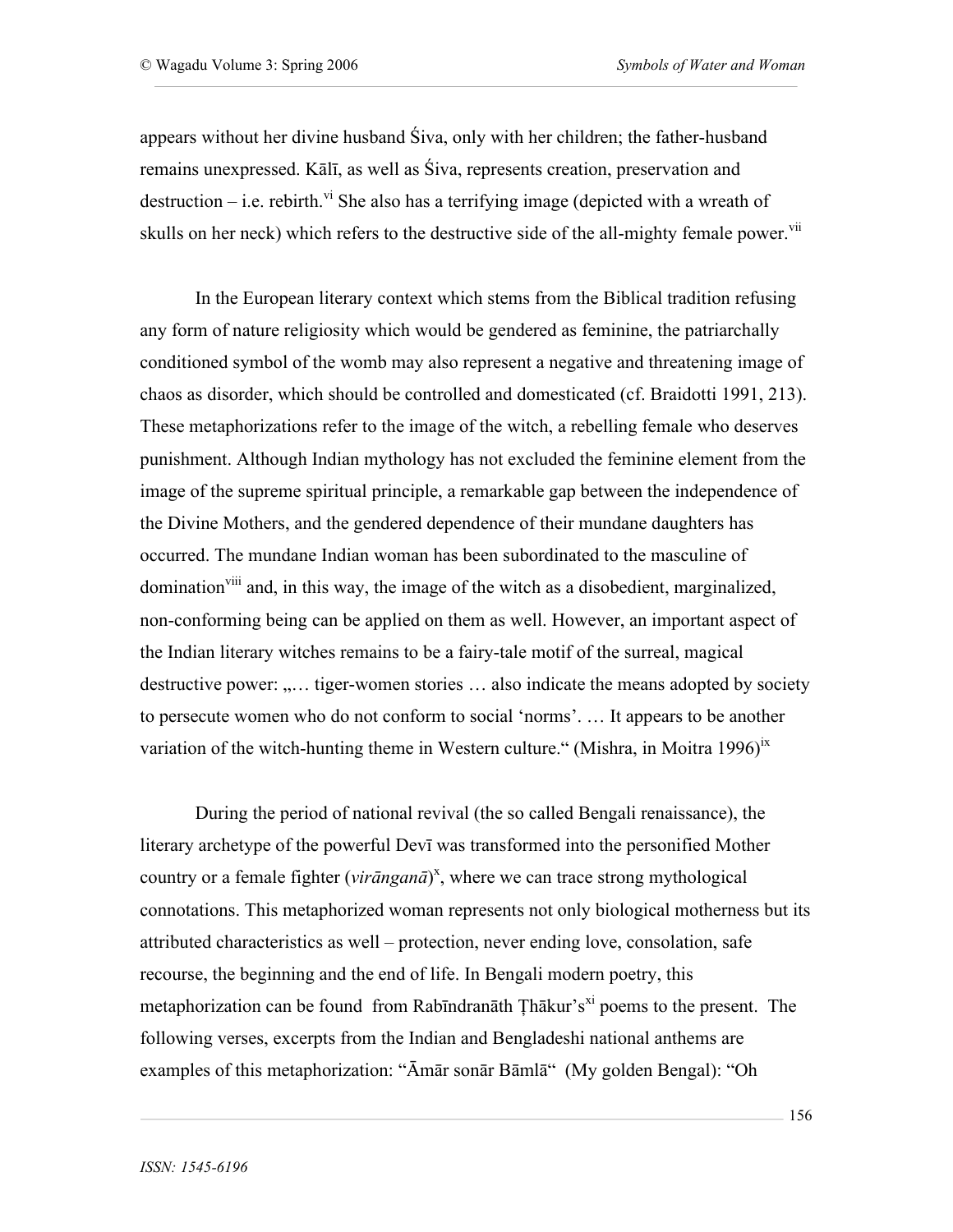appears without her divine husband Śiva, only with her children; the father-husband remains unexpressed. Kālī, as well as Śiva, represents creation, preservation and destruction – i.e. rebirth.<sup>vi</sup> She also has a terrifying image (depicted with a wreath of skulls on her neck) which refers to the destructive side of the all-mighty female power.<sup>vii</sup>

In the European literary context which stems from the Biblical tradition refusing any form of nature religiosity which would be gendered as feminine, the patriarchally conditioned symbol of the womb may also represent a negative and threatening image of chaos as disorder, which should be controlled and domesticated (cf. Braidotti 1991, 213). These metaphorizations refer to the image of the witch, a rebelling female who deserves punishment. Although Indian mythology has not excluded the feminine element from the image of the supreme spiritual principle, a remarkable gap between the independence of the Divine Mothers, and the gendered dependence of their mundane daughters has occurred. The mundane Indian woman has been subordinated to the masculine of domination<sup>viii</sup> and, in this way, the image of the witch as a disobedient, marginalized, non-conforming being can be applied on them as well. However, an important aspect of the Indian literary witches remains to be a fairy-tale motif of the surreal, magical destructive power: ..... tiger-women stories ... also indicate the means adopted by society to persecute women who do not conform to social 'norms'. … It appears to be another variation of the witch-hunting theme in Western culture." (Mishra, in Moitra 1996)<sup>ix</sup>

During the period of national revival (the so called Bengali renaissance), the literary archetype of the powerful Devī was transformed into the personified Mother country or a female fighter (*virānganā*) x , where we can trace strong mythological connotations. This metaphorized woman represents not only biological motherness but its attributed characteristics as well – protection, never ending love, consolation, safe recourse, the beginning and the end of life. In Bengali modern poetry, this metaphorization can be found from Rabīndranāth Țhākur's<sup>xi</sup> poems to the present. The following verses, excerpts from the Indian and Bengladeshi national anthems are examples of this metaphorization: "Āmār sonār Bāmlā" (My golden Bengal): "Oh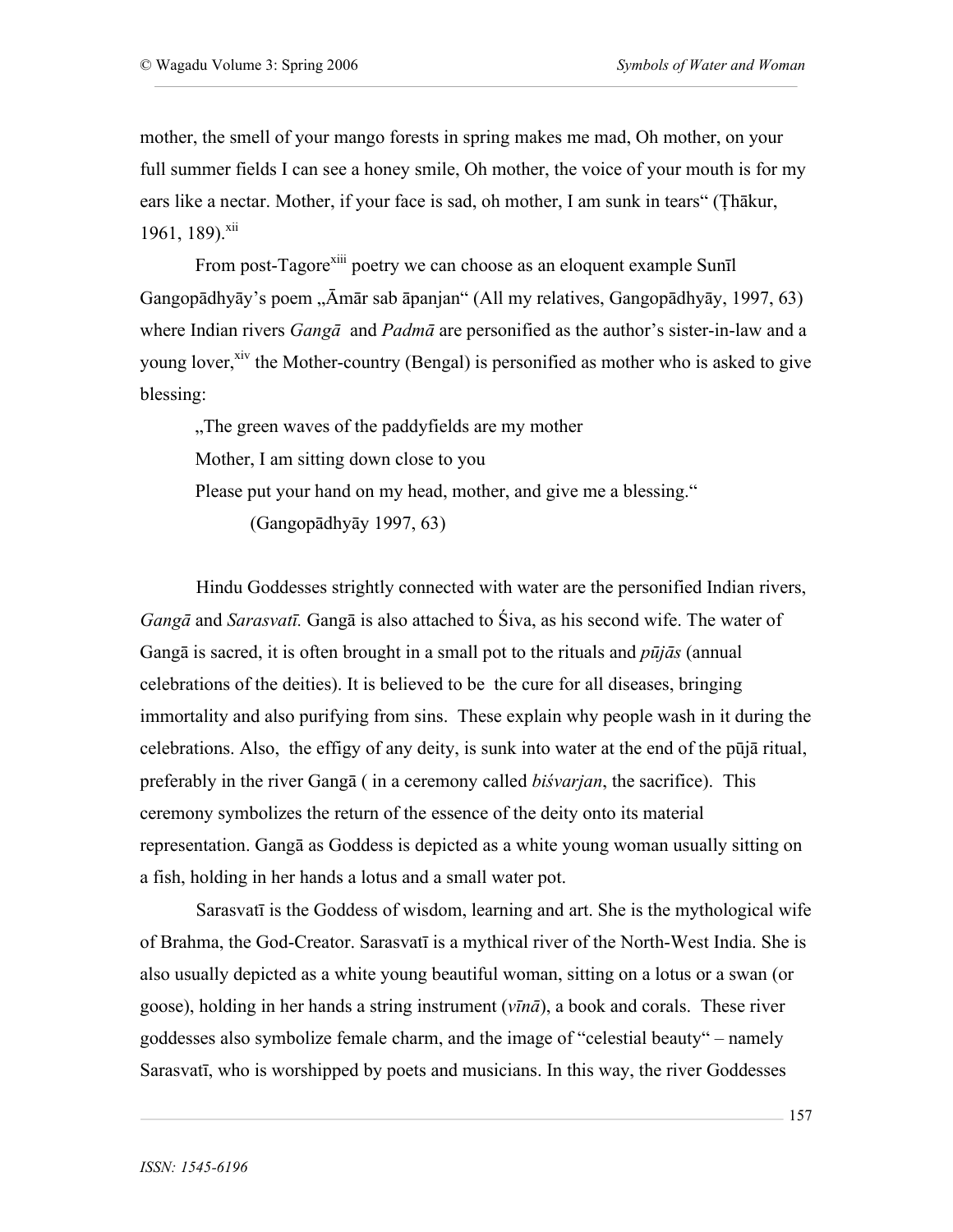mother, the smell of your mango forests in spring makes me mad, Oh mother, on your full summer fields I can see a honey smile, Oh mother, the voice of your mouth is for my ears like a nectar. Mother, if your face is sad, oh mother, I am sunk in tears" (Ţhākur, 1961, 189).<sup>xii</sup>

From post-Tagore<sup>xiii</sup> poetry we can choose as an eloquent example Sunīl Gangopādhyāy's poem "Āmār sab āpanjan" (All my relatives, Gangopādhyāy, 1997, 63) where Indian rivers *Gangā* and *Padmā* are personified as the author's sister-in-law and a young lover,<sup>xiv</sup> the Mother-country (Bengal) is personified as mother who is asked to give blessing:

..The green waves of the paddyfields are my mother. Mother, I am sitting down close to you Please put your hand on my head, mother, and give me a blessing." (Gangopādhyāy 1997, 63)

Hindu Goddesses strightly connected with water are the personified Indian rivers, *Gangā* and *Sarasvatī.* Gangā is also attached to Śiva, as his second wife. The water of Gangā is sacred, it is often brought in a small pot to the rituals and *pūjās* (annual celebrations of the deities). It is believed to be the cure for all diseases, bringing immortality and also purifying from sins. These explain why people wash in it during the celebrations. Also, the effigy of any deity, is sunk into water at the end of the pūjā ritual, preferably in the river Gangā ( in a ceremony called *biśvarjan*, the sacrifice). This ceremony symbolizes the return of the essence of the deity onto its material representation. Gangā as Goddess is depicted as a white young woman usually sitting on a fish, holding in her hands a lotus and a small water pot.

Sarasvatī is the Goddess of wisdom, learning and art. She is the mythological wife of Brahma, the God-Creator. Sarasvatī is a mythical river of the North-West India. She is also usually depicted as a white young beautiful woman, sitting on a lotus or a swan (or goose), holding in her hands a string instrument (*vīnā*), a book and corals. These river goddesses also symbolize female charm, and the image of "celestial beauty" – namely Sarasvatī, who is worshipped by poets and musicians. In this way, the river Goddesses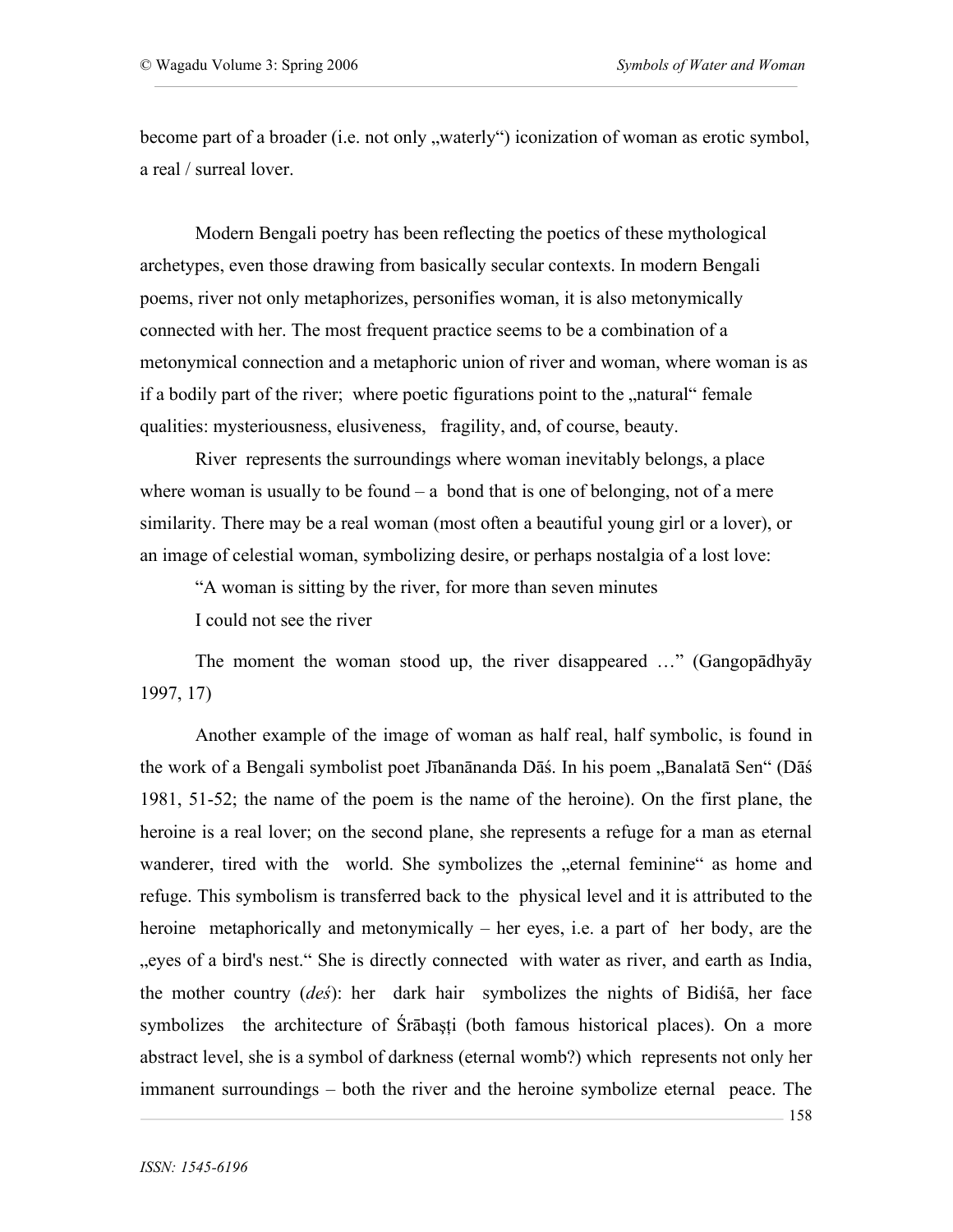become part of a broader (i.e. not only "waterly") iconization of woman as erotic symbol, a real / surreal lover.

Modern Bengali poetry has been reflecting the poetics of these mythological archetypes, even those drawing from basically secular contexts. In modern Bengali poems, river not only metaphorizes, personifies woman, it is also metonymically connected with her. The most frequent practice seems to be a combination of a metonymical connection and a metaphoric union of river and woman, where woman is as if a bodily part of the river; where poetic figurations point to the "natural" female qualities: mysteriousness, elusiveness, fragility, and, of course, beauty.

River represents the surroundings where woman inevitably belongs, a place where woman is usually to be found  $-$  a bond that is one of belonging, not of a mere similarity. There may be a real woman (most often a beautiful young girl or a lover), or an image of celestial woman, symbolizing desire, or perhaps nostalgia of a lost love:

"A woman is sitting by the river, for more than seven minutes

I could not see the river

The moment the woman stood up, the river disappeared …" (Gangopādhyāy 1997, 17)

Another example of the image of woman as half real, half symbolic, is found in the work of a Bengali symbolist poet Jībanānanda Dāś. In his poem "Banalatā Sen" (Dāś 1981, 51-52; the name of the poem is the name of the heroine). On the first plane, the heroine is a real lover; on the second plane, she represents a refuge for a man as eternal wanderer, tired with the world. She symbolizes the "eternal feminine" as home and refuge. This symbolism is transferred back to the physical level and it is attributed to the heroine metaphorically and metonymically – her eyes, i.e. a part of her body, are the ", eyes of a bird's nest." She is directly connected with water as river, and earth as India, the mother country (*deś*): her dark hair symbolizes the nights of Bidiśā, her face symbolizes the architecture of Śrābaşţi (both famous historical places). On a more abstract level, she is a symbol of darkness (eternal womb?) which represents not only her immanent surroundings – both the river and the heroine symbolize eternal peace. The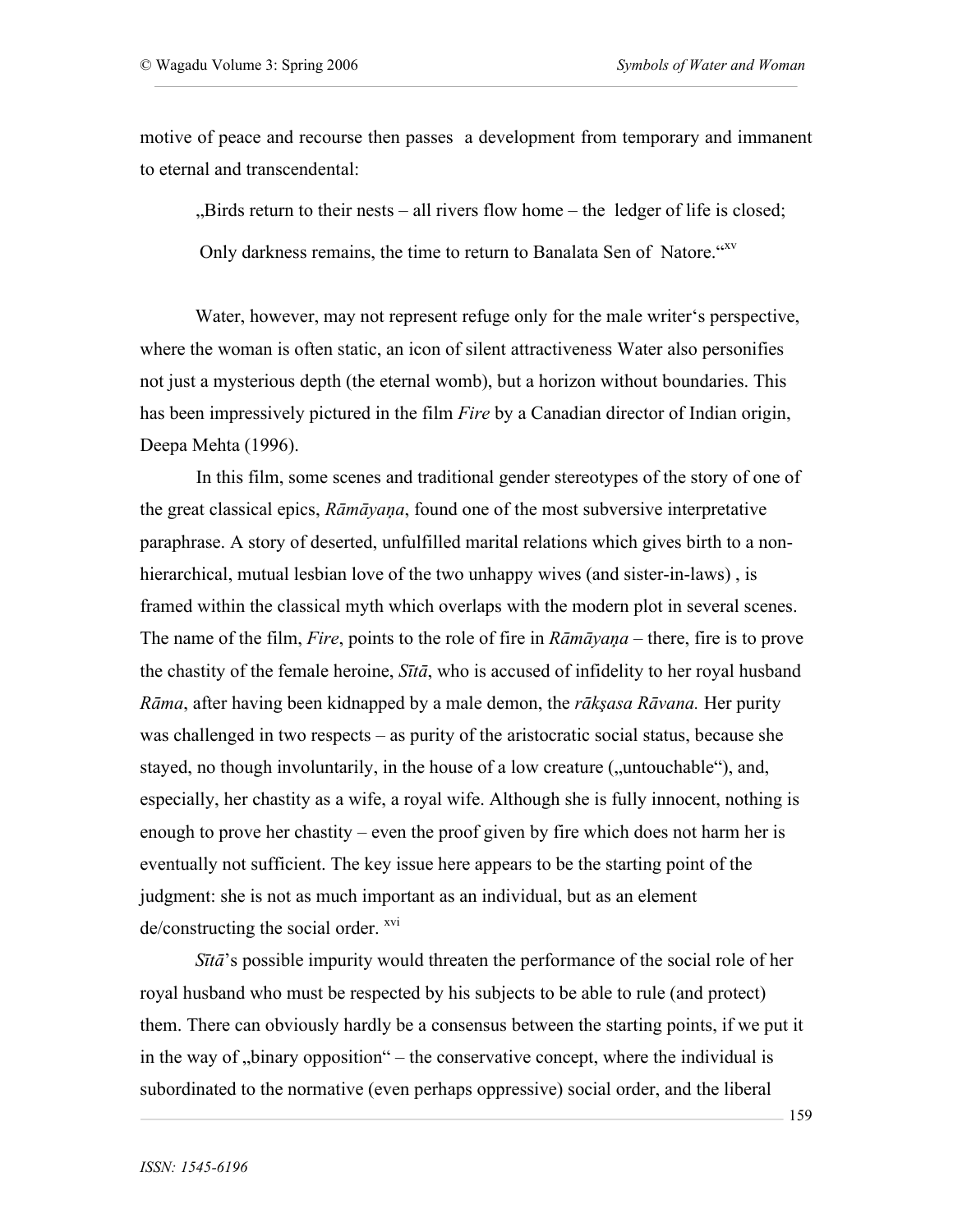motive of peace and recourse then passes a development from temporary and immanent to eternal and transcendental:

 $Birds$  return to their nests – all rivers flow home – the ledger of life is closed;

Only darkness remains, the time to return to Banalata Sen of Natore." XV

Water, however, may not represent refuge only for the male writer's perspective, where the woman is often static, an icon of silent attractiveness Water also personifies not just a mysterious depth (the eternal womb), but a horizon without boundaries. This has been impressively pictured in the film *Fire* by a Canadian director of Indian origin, Deepa Mehta (1996).

In this film, some scenes and traditional gender stereotypes of the story of one of the great classical epics, *Rāmāyaņa*, found one of the most subversive interpretative paraphrase. A story of deserted, unfulfilled marital relations which gives birth to a nonhierarchical, mutual lesbian love of the two unhappy wives (and sister-in-laws) , is framed within the classical myth which overlaps with the modern plot in several scenes. The name of the film, *Fire*, points to the role of fire in *Rāmāyaņa* – there, fire is to prove the chastity of the female heroine, *Sītā*, who is accused of infidelity to her royal husband *Rāma*, after having been kidnapped by a male demon, the *rākşasa Rāvana.* Her purity was challenged in two respects – as purity of the aristocratic social status, because she stayed, no though involuntarily, in the house of a low creature  $($ , untouchable $)$ , and, especially, her chastity as a wife, a royal wife. Although she is fully innocent, nothing is enough to prove her chastity – even the proof given by fire which does not harm her is eventually not sufficient. The key issue here appears to be the starting point of the judgment: she is not as much important as an individual, but as an element  $de/constructing$  the social order.  $xv1}$ 

*Sītā*'s possible impurity would threaten the performance of the social role of her royal husband who must be respected by his subjects to be able to rule (and protect) them. There can obviously hardly be a consensus between the starting points, if we put it in the way of  $\mu$ binary opposition" – the conservative concept, where the individual is subordinated to the normative (even perhaps oppressive) social order, and the liberal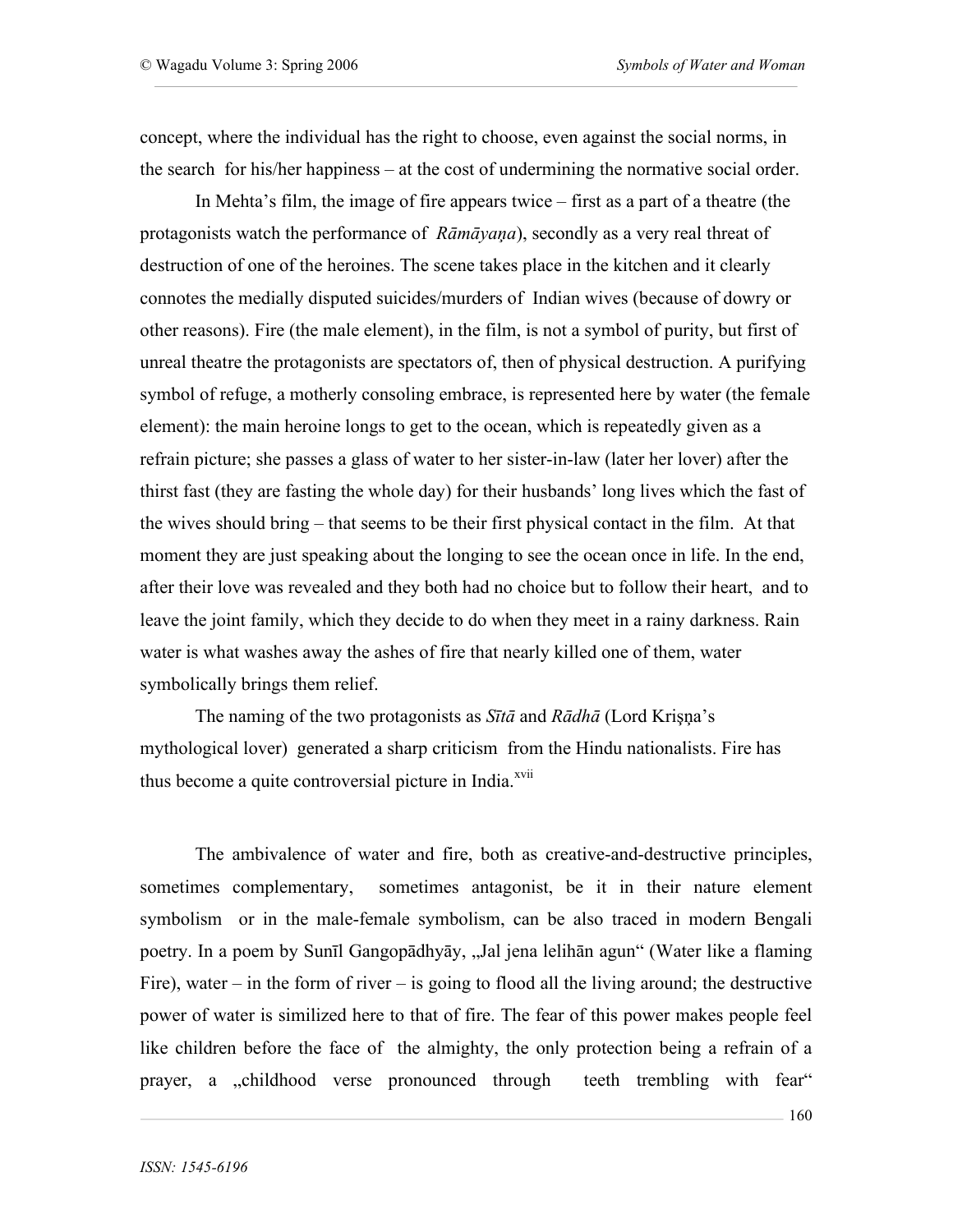concept, where the individual has the right to choose, even against the social norms, in the search for his/her happiness – at the cost of undermining the normative social order.

In Mehta's film, the image of fire appears twice – first as a part of a theatre (the protagonists watch the performance of *Rāmāyaņa*), secondly as a very real threat of destruction of one of the heroines. The scene takes place in the kitchen and it clearly connotes the medially disputed suicides/murders of Indian wives (because of dowry or other reasons). Fire (the male element), in the film, is not a symbol of purity, but first of unreal theatre the protagonists are spectators of, then of physical destruction. A purifying symbol of refuge, a motherly consoling embrace, is represented here by water (the female element): the main heroine longs to get to the ocean, which is repeatedly given as a refrain picture; she passes a glass of water to her sister-in-law (later her lover) after the thirst fast (they are fasting the whole day) for their husbands' long lives which the fast of the wives should bring – that seems to be their first physical contact in the film. At that moment they are just speaking about the longing to see the ocean once in life. In the end, after their love was revealed and they both had no choice but to follow their heart, and to leave the joint family, which they decide to do when they meet in a rainy darkness. Rain water is what washes away the ashes of fire that nearly killed one of them, water symbolically brings them relief.

The naming of the two protagonists as *Sītā* and *Rādhā* (Lord Krişņa's mythological lover) generated a sharp criticism from the Hindu nationalists. Fire has thus become a quite controversial picture in India.<sup>xvii</sup>

The ambivalence of water and fire, both as creative-and-destructive principles, sometimes complementary, sometimes antagonist, be it in their nature element symbolism or in the male-female symbolism, can be also traced in modern Bengali poetry. In a poem by Sunīl Gangopādhyāy, "Jal jena lelihān agun" (Water like a flaming Fire), water  $-$  in the form of river  $-$  is going to flood all the living around; the destructive power of water is similized here to that of fire. The fear of this power makes people feel like children before the face of the almighty, the only protection being a refrain of a prayer, a ,childhood verse pronounced through teeth trembling with fear"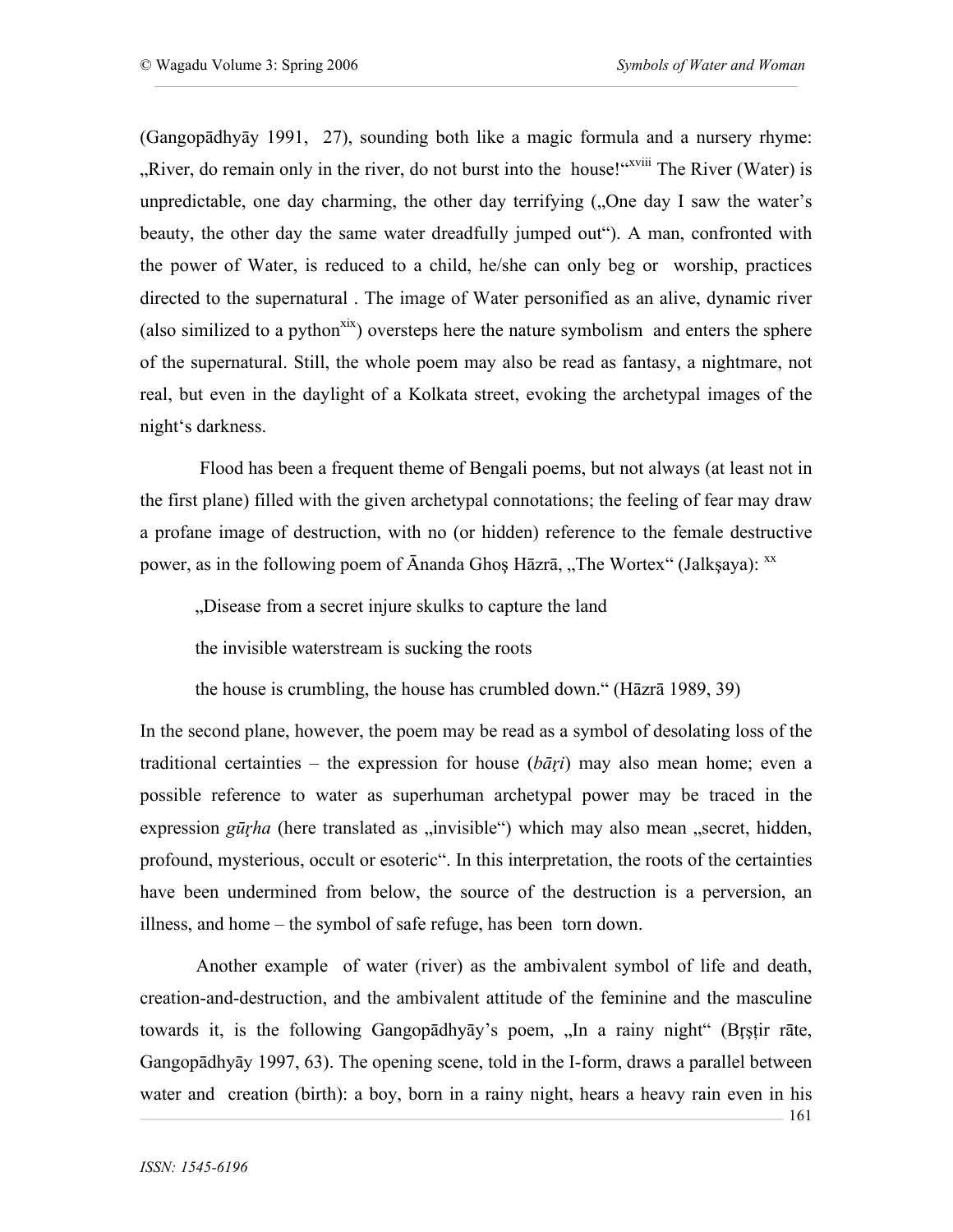161

(Gangopādhyāy 1991, 27), sounding both like a magic formula and a nursery rhyme: "River, do remain only in the river, do not burst into the house!"<sup>xviii</sup> The River (Water) is unpredictable, one day charming, the other day terrifying  $($ . One day I saw the water's beauty, the other day the same water dreadfully jumped out"). A man, confronted with the power of Water, is reduced to a child, he/she can only beg or worship, practices directed to the supernatural . The image of Water personified as an alive, dynamic river (also similized to a python<sup>xix</sup>) oversteps here the nature symbolism and enters the sphere of the supernatural. Still, the whole poem may also be read as fantasy, a nightmare, not real, but even in the daylight of a Kolkata street, evoking the archetypal images of the night's darkness.

 Flood has been a frequent theme of Bengali poems, but not always (at least not in the first plane) filled with the given archetypal connotations; the feeling of fear may draw a profane image of destruction, with no (or hidden) reference to the female destructive power, as in the following poem of  $\bar{A}$ nanda Ghoş Hāzrā, "The Wortex" (Jalkşaya):  $^{xx}$ 

"Disease from a secret injure skulks to capture the land

the invisible waterstream is sucking the roots

the house is crumbling, the house has crumbled down." (Hāzrā 1989, 39)

In the second plane, however, the poem may be read as a symbol of desolating loss of the traditional certainties – the expression for house (*bāŗi*) may also mean home; even a possible reference to water as superhuman archetypal power may be traced in the expression *gūrha* (here translated as "invisible") which may also mean "secret, hidden, profound, mysterious, occult or esoteric". In this interpretation, the roots of the certainties have been undermined from below, the source of the destruction is a perversion, an illness, and home – the symbol of safe refuge, has been torn down.

Another example of water (river) as the ambivalent symbol of life and death, creation-and-destruction, and the ambivalent attitude of the feminine and the masculine towards it, is the following Gangopādhyāy's poem, "In a rainy night" (Brstir rāte, Gangopādhyāy 1997, 63). The opening scene, told in the I-form, draws a parallel between water and creation (birth): a boy, born in a rainy night, hears a heavy rain even in his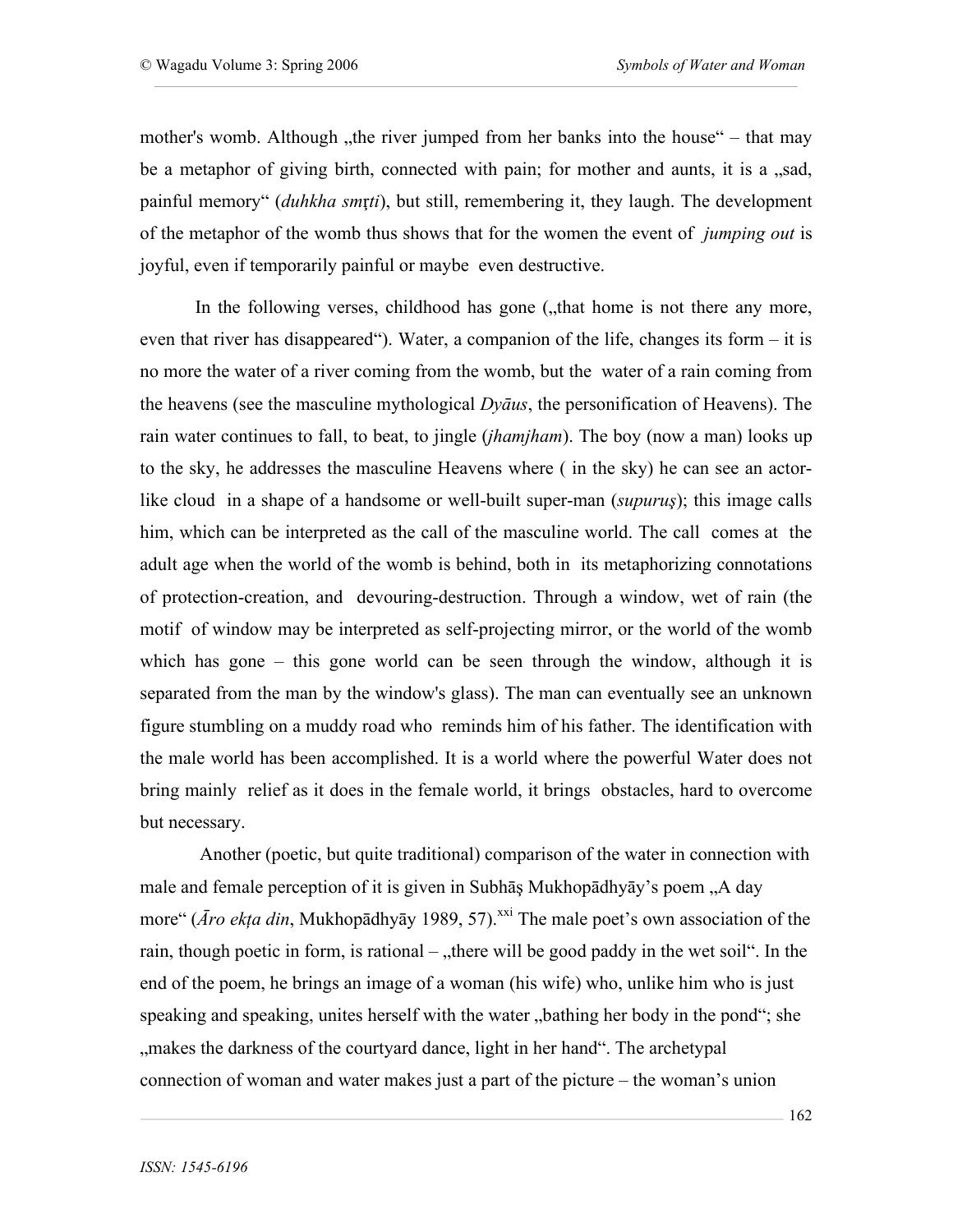mother's womb. Although "the river jumped from her banks into the house" – that may be a metaphor of giving birth, connected with pain; for mother and aunts, it is a "sad, painful memory" (*duhkha sm*ŗ*ti*), but still, remembering it, they laugh. The development of the metaphor of the womb thus shows that for the women the event of *jumping out* is joyful, even if temporarily painful or maybe even destructive.

In the following verses, childhood has gone ("that home is not there any more, even that river has disappeared"). Water, a companion of the life, changes its form – it is no more the water of a river coming from the womb, but the water of a rain coming from the heavens (see the masculine mythological *Dyāus*, the personification of Heavens). The rain water continues to fall, to beat, to jingle (*jhamjham*). The boy (now a man) looks up to the sky, he addresses the masculine Heavens where ( in the sky) he can see an actorlike cloud in a shape of a handsome or well-built super-man (*supuruş*); this image calls him, which can be interpreted as the call of the masculine world. The call comes at the adult age when the world of the womb is behind, both in its metaphorizing connotations of protection-creation, and devouring-destruction. Through a window, wet of rain (the motif of window may be interpreted as self-projecting mirror, or the world of the womb which has gone – this gone world can be seen through the window, although it is separated from the man by the window's glass). The man can eventually see an unknown figure stumbling on a muddy road who reminds him of his father. The identification with the male world has been accomplished. It is a world where the powerful Water does not bring mainly relief as it does in the female world, it brings obstacles, hard to overcome but necessary.

 Another (poetic, but quite traditional) comparison of the water in connection with male and female perception of it is given in Subhāş Mukhopādhyāy's poem "A day more" (*Āro ekța din*, Mukhopādhyāy 1989, 57).<sup>xxi</sup> The male poet's own association of the rain, though poetic in form, is rational  $-$ , there will be good paddy in the wet soil". In the end of the poem, he brings an image of a woman (his wife) who, unlike him who is just speaking and speaking, unites herself with the water, bathing her body in the pond"; she ", makes the darkness of the courtyard dance, light in her hand". The archetypal connection of woman and water makes just a part of the picture – the woman's union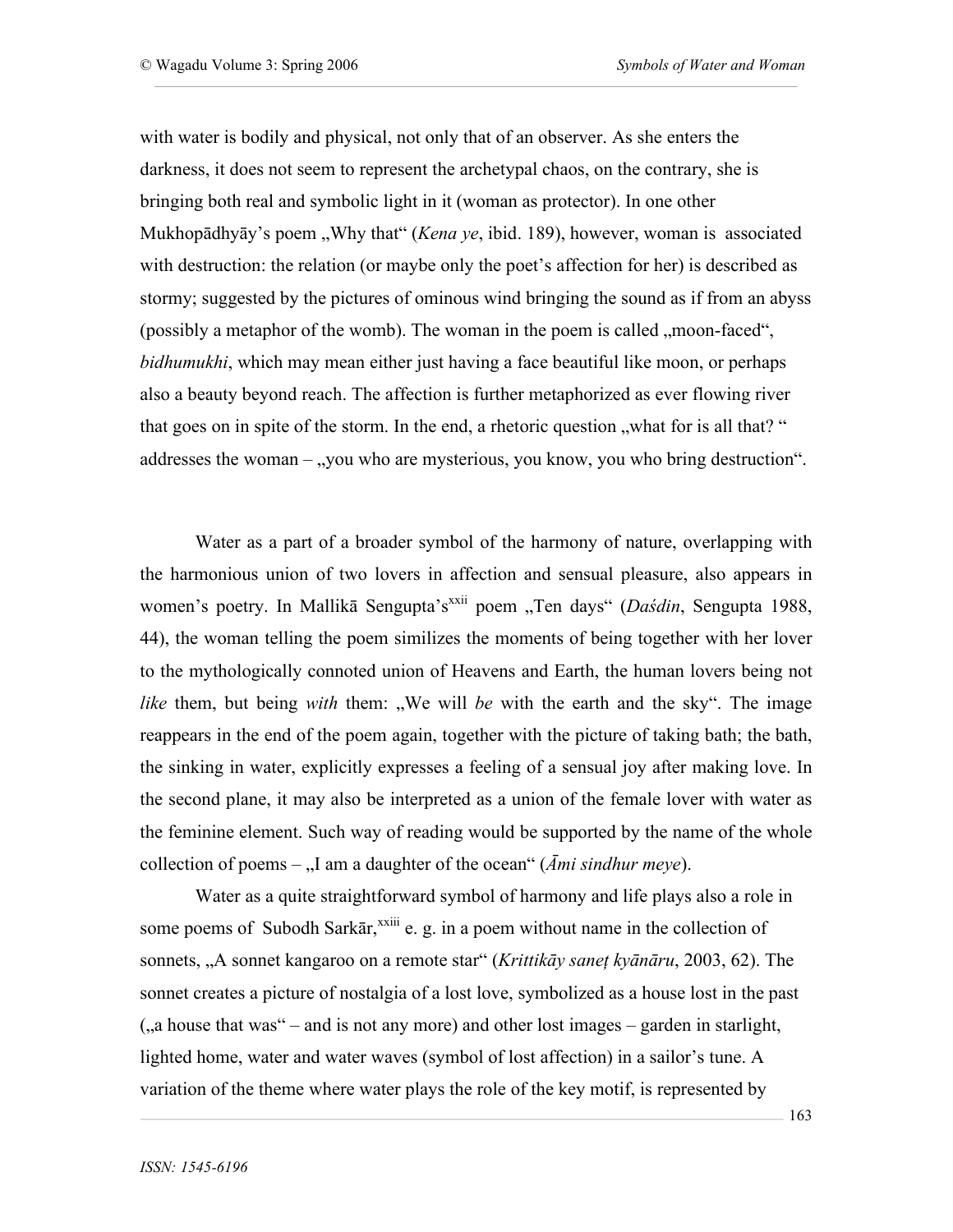with water is bodily and physical, not only that of an observer. As she enters the darkness, it does not seem to represent the archetypal chaos, on the contrary, she is bringing both real and symbolic light in it (woman as protector). In one other Mukhopādhyāy's poem "Why that" *(Kena ye*, ibid. 189), however, woman is associated with destruction: the relation (or maybe only the poet's affection for her) is described as stormy; suggested by the pictures of ominous wind bringing the sound as if from an abyss (possibly a metaphor of the womb). The woman in the poem is called , moon-faced", *bidhumukhi*, which may mean either just having a face beautiful like moon, or perhaps also a beauty beyond reach. The affection is further metaphorized as ever flowing river that goes on in spite of the storm. In the end, a rhetoric question "what for is all that? " addresses the woman – "you who are mysterious, you know, you who bring destruction".

Water as a part of a broader symbol of the harmony of nature, overlapping with the harmonious union of two lovers in affection and sensual pleasure, also appears in women's poetry. In Mallikā Sengupta's<sup>xxii</sup> poem "Ten days" (*Daśdin*, Sengupta 1988, 44), the woman telling the poem similizes the moments of being together with her lover to the mythologically connoted union of Heavens and Earth, the human lovers being not *like* them, but being *with* them: "We will *be* with the earth and the sky". The image reappears in the end of the poem again, together with the picture of taking bath; the bath, the sinking in water, explicitly expresses a feeling of a sensual joy after making love. In the second plane, it may also be interpreted as a union of the female lover with water as the feminine element. Such way of reading would be supported by the name of the whole collection of poems  $-$  <sub>1</sub>, I am a daughter of the ocean<sup>"</sup> (*Āmi sindhur meye*).

Water as a quite straightforward symbol of harmony and life plays also a role in some poems of Subodh Sarkār,<sup>xxiii</sup> e. g. in a poem without name in the collection of sonnets, "A sonnet kangaroo on a remote star" (*Krittikāy saneţ kyānāru*, 2003, 62). The sonnet creates a picture of nostalgia of a lost love, symbolized as a house lost in the past  $($ , a house that was  $-$  and is not any more) and other lost images – garden in starlight, lighted home, water and water waves (symbol of lost affection) in a sailor's tune. A variation of the theme where water plays the role of the key motif, is represented by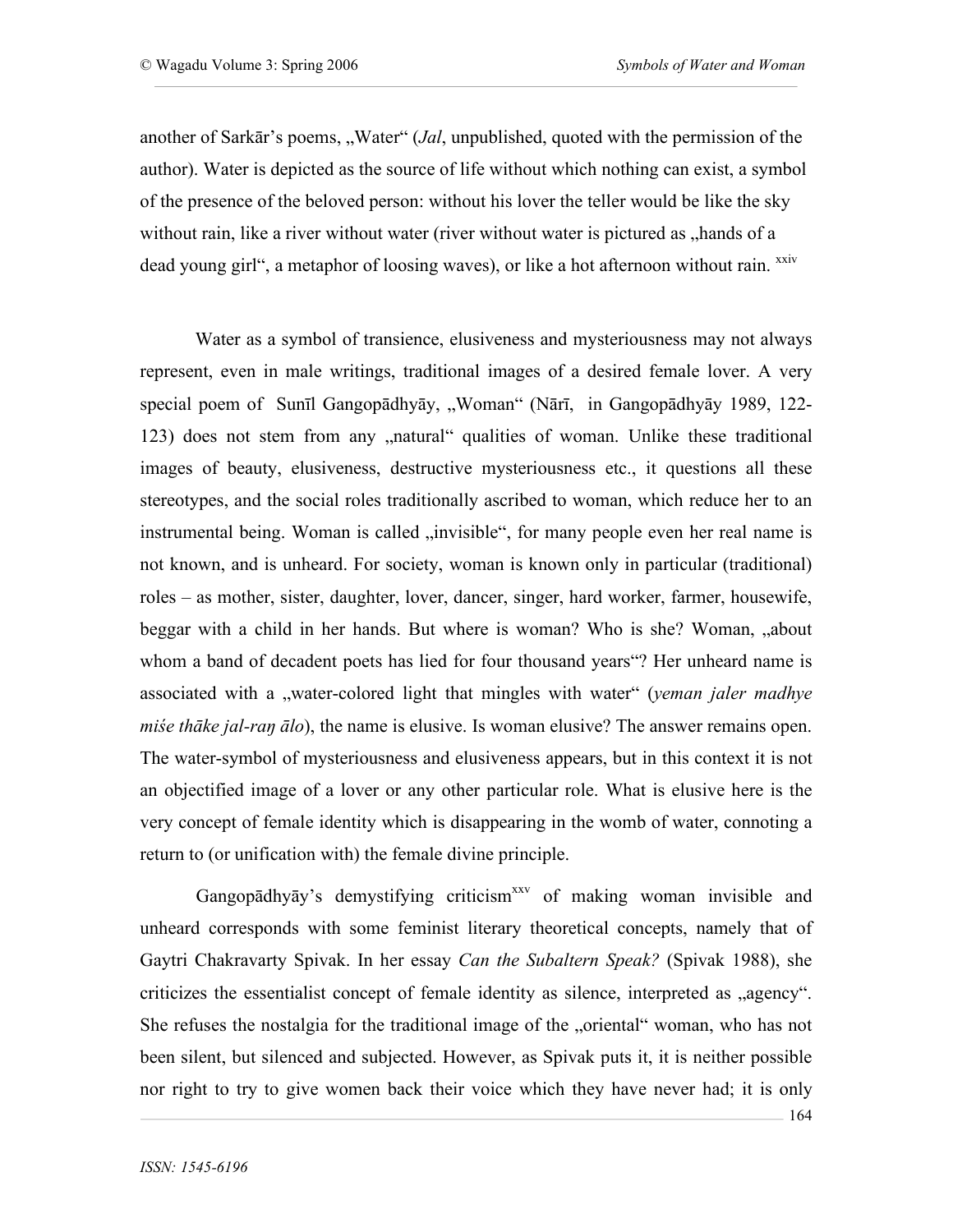another of Sarkār's poems, "Water" (*Jal*, unpublished, quoted with the permission of the author). Water is depicted as the source of life without which nothing can exist, a symbol of the presence of the beloved person: without his lover the teller would be like the sky without rain, like a river without water (river without water is pictured as "hands of a dead young girl", a metaphor of loosing waves), or like a hot afternoon without rain. <sup>xxiv</sup>

Water as a symbol of transience, elusiveness and mysteriousness may not always represent, even in male writings, traditional images of a desired female lover. A very special poem of Sunīl Gangopādhyāy, "Woman" (Nārī, in Gangopādhyāy 1989, 122-123) does not stem from any "natural" qualities of woman. Unlike these traditional images of beauty, elusiveness, destructive mysteriousness etc., it questions all these stereotypes, and the social roles traditionally ascribed to woman, which reduce her to an instrumental being. Woman is called "invisible", for many people even her real name is not known, and is unheard. For society, woman is known only in particular (traditional) roles – as mother, sister, daughter, lover, dancer, singer, hard worker, farmer, housewife, beggar with a child in her hands. But where is woman? Who is she? Woman, "about whom a band of decadent poets has lied for four thousand years"? Her unheard name is associated with a "water-colored light that mingles with water" (*yeman jaler madhye miśe thāke jal-raŋ ālo*), the name is elusive. Is woman elusive? The answer remains open. The water-symbol of mysteriousness and elusiveness appears, but in this context it is not an objectified image of a lover or any other particular role. What is elusive here is the very concept of female identity which is disappearing in the womb of water, connoting a return to (or unification with) the female divine principle.

Gangopādhyāy's demystifying criticism<sup>xxv</sup> of making woman invisible and unheard corresponds with some feminist literary theoretical concepts, namely that of Gaytri Chakravarty Spivak. In her essay *Can the Subaltern Speak?* (Spivak 1988), she criticizes the essentialist concept of female identity as silence, interpreted as "agency". She refuses the nostalgia for the traditional image of the "oriental" woman, who has not been silent, but silenced and subjected. However, as Spivak puts it, it is neither possible nor right to try to give women back their voice which they have never had; it is only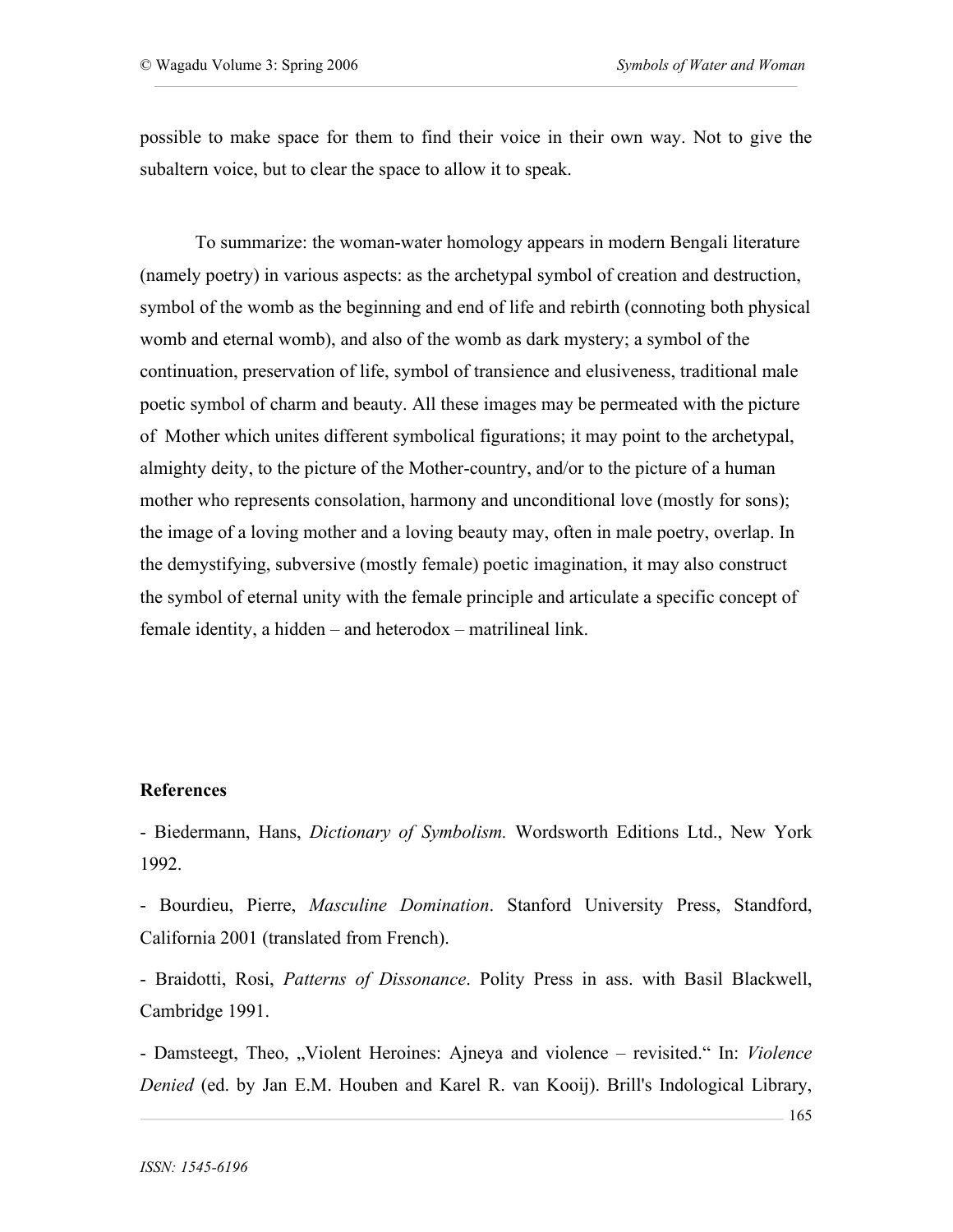possible to make space for them to find their voice in their own way. Not to give the subaltern voice, but to clear the space to allow it to speak.

To summarize: the woman-water homology appears in modern Bengali literature (namely poetry) in various aspects: as the archetypal symbol of creation and destruction, symbol of the womb as the beginning and end of life and rebirth (connoting both physical womb and eternal womb), and also of the womb as dark mystery; a symbol of the continuation, preservation of life, symbol of transience and elusiveness, traditional male poetic symbol of charm and beauty. All these images may be permeated with the picture of Mother which unites different symbolical figurations; it may point to the archetypal, almighty deity, to the picture of the Mother-country, and/or to the picture of a human mother who represents consolation, harmony and unconditional love (mostly for sons); the image of a loving mother and a loving beauty may, often in male poetry, overlap. In the demystifying, subversive (mostly female) poetic imagination, it may also construct the symbol of eternal unity with the female principle and articulate a specific concept of female identity, a hidden – and heterodox – matrilineal link.

## **References**

- Biedermann, Hans, *Dictionary of Symbolism.* Wordsworth Editions Ltd., New York 1992.

- Bourdieu, Pierre, *Masculine Domination*. Stanford University Press, Standford, California 2001 (translated from French).

- Braidotti, Rosi, *Patterns of Dissonance*. Polity Press in ass. with Basil Blackwell, Cambridge 1991.

- Damsteegt, Theo, "Violent Heroines: Ajneya and violence – revisited." In: *Violence Denied* (ed. by Jan E.M. Houben and Karel R. van Kooij). Brill's Indological Library,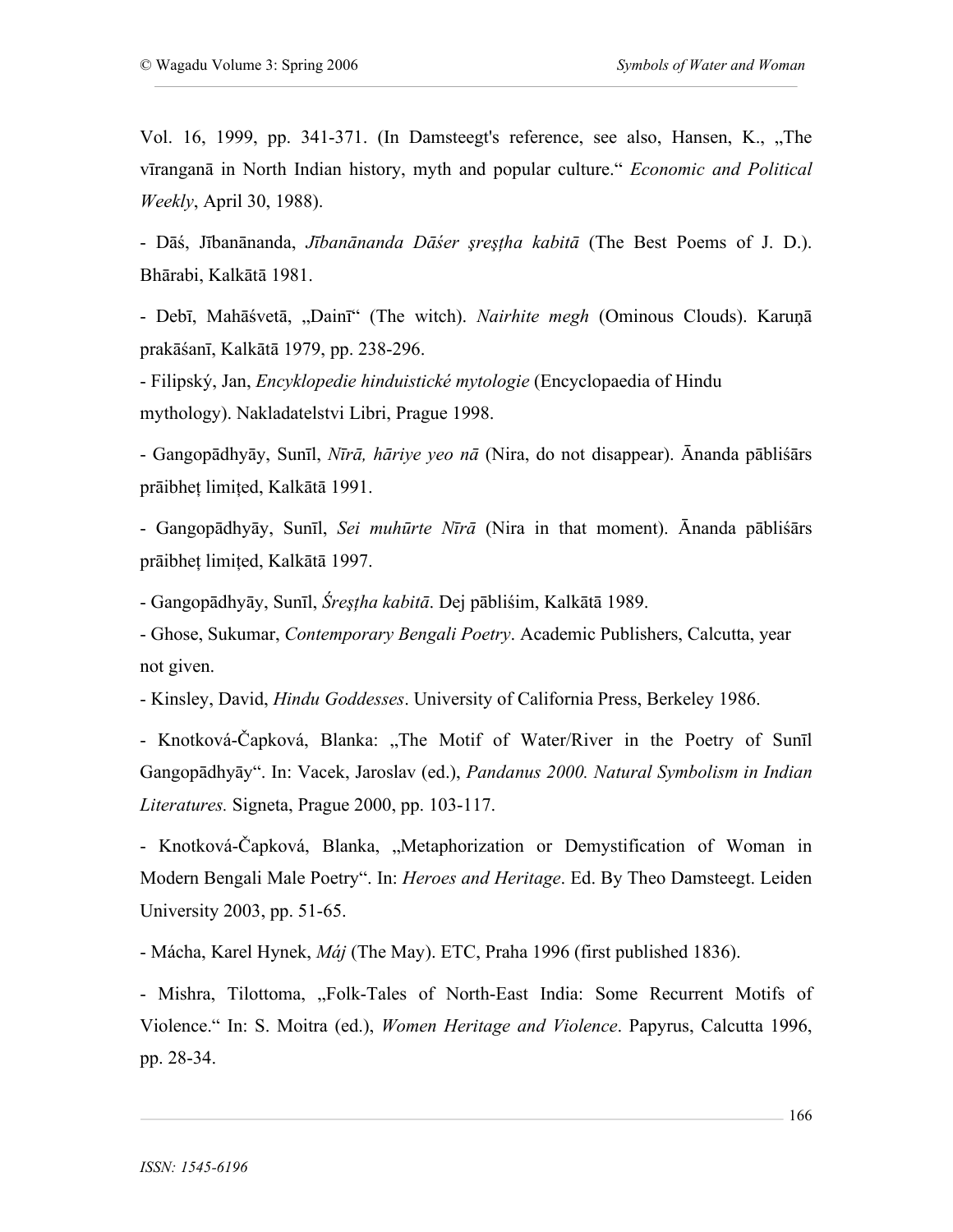Vol. 16, 1999, pp. 341-371. (In Damsteegt's reference, see also, Hansen, K., "The vīranganā in North Indian history, myth and popular culture." *Economic and Political Weekly*, April 30, 1988).

- Dāś, Jībanānanda, *Jībanānanda Dāśer şreşţha kabitā* (The Best Poems of J. D.). Bhārabi, Kalkātā 1981.

- Debī, Mahāśvetā, "Dainī" (The witch). *Nairhite megh* (Ominous Clouds). Karuņā prakāśanī, Kalkātā 1979, pp. 238-296.

- Filipský, Jan, *Encyklopedie hinduistické mytologie* (Encyclopaedia of Hindu mythology). Nakladatelstvi Libri, Prague 1998.

- Gangopādhyāy, Sunīl, *Nīrā, hāriye yeo nā* (Nira, do not disappear). Ānanda pābliśārs prāibheţ limiţed, Kalkātā 1991.

- Gangopādhyāy, Sunīl, *Sei muhūrte Nīrā* (Nira in that moment). Ānanda pābliśārs prāibheţ limiţed, Kalkātā 1997.

- Gangopādhyāy, Sunīl, *Śreşţha kabitā*. Dej pābliśim, Kalkātā 1989.

- Ghose, Sukumar, *Contemporary Bengali Poetry*. Academic Publishers, Calcutta, year not given.

- Kinsley, David, *Hindu Goddesses*. University of California Press, Berkeley 1986.

- Knotková-Čapková, Blanka: "The Motif of Water/River in the Poetry of Sunil Gangopādhyāy". In: Vacek, Jaroslav (ed.), *Pandanus 2000. Natural Symbolism in Indian Literatures.* Signeta, Prague 2000, pp. 103-117.

- Knotková-Čapková, Blanka, "Metaphorization or Demystification of Woman in Modern Bengali Male Poetry". In: *Heroes and Heritage*. Ed. By Theo Damsteegt. Leiden University 2003, pp. 51-65.

- Mácha, Karel Hynek, *Máj* (The May). ETC, Praha 1996 (first published 1836).

- Mishra, Tilottoma, "Folk-Tales of North-East India: Some Recurrent Motifs of Violence." In: S. Moitra (ed.), *Women Heritage and Violence*. Papyrus, Calcutta 1996, pp. 28-34.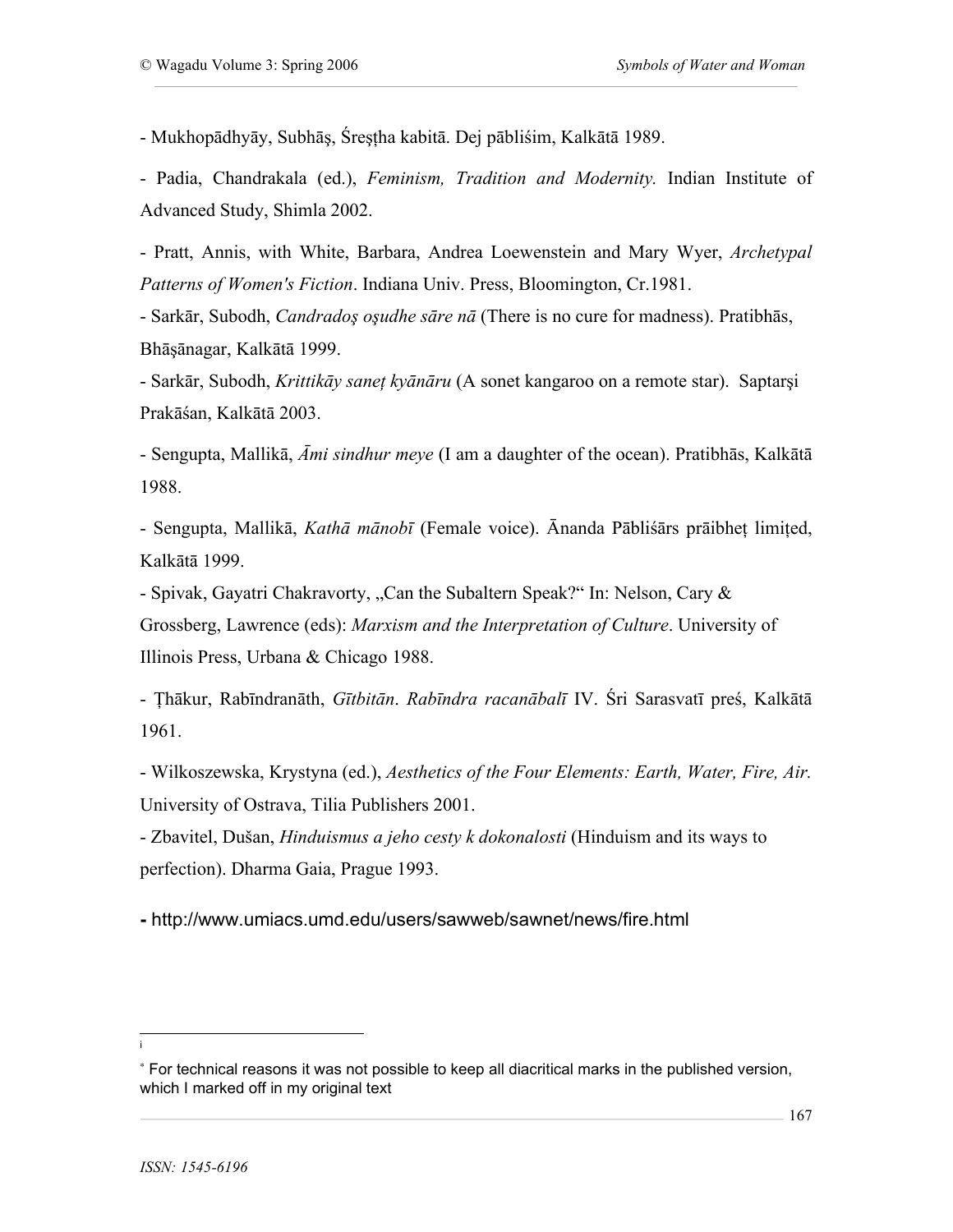- Mukhopādhyāy, Subhāş, Śreşţha kabitā. Dej pābliśim, Kalkātā 1989.

- Padia, Chandrakala (ed.), *Feminism, Tradition and Modernity.* Indian Institute of Advanced Study, Shimla 2002.

- Pratt, Annis, with White, Barbara, Andrea Loewenstein and Mary Wyer, *Archetypal Patterns of Women's Fiction*. Indiana Univ. Press, Bloomington, Cr.1981.

- Sarkār, Subodh, *Candradoş oşudhe sāre nā* (There is no cure for madness). Pratibhās, Bhāşānagar, Kalkātā 1999.

- Sarkār, Subodh, *Krittikāy saneţ kyānāru* (A sonet kangaroo on a remote star). Saptarşi Prakāśan, Kalkātā 2003.

- Sengupta, Mallikā, *Āmi sindhur meye* (I am a daughter of the ocean). Pratibhās, Kalkātā 1988.

- Sengupta, Mallikā, *Kathā mānobī* (Female voice). Ānanda Pābliśārs prāibheţ limiţed, Kalkātā 1999.

- Spivak, Gayatri Chakravorty, "Can the Subaltern Speak?" In: Nelson, Cary & Grossberg, Lawrence (eds): *Marxism and the Interpretation of Culture*. University of Illinois Press, Urbana & Chicago 1988.

- Ţhākur, Rabīndranāth, *Gītbitān*. *Rabīndra racanābalī* IV. Śri Sarasvatī preś, Kalkātā 1961.

- Wilkoszewska, Krystyna (ed.), *Aesthetics of the Four Elements: Earth, Water, Fire, Air.* University of Ostrava, Tilia Publishers 2001.

- Zbavitel, Dušan, *Hinduismus a jeho cesty k dokonalosti* (Hinduism and its ways to perfection). Dharma Gaia, Prague 1993.

**-** http://www.umiacs.umd.edu/users/sawweb/sawnet/news/fire.html

i

<sup>∗</sup> For technical reasons it was not possible to keep all diacritical marks in the published version, which I marked off in my original text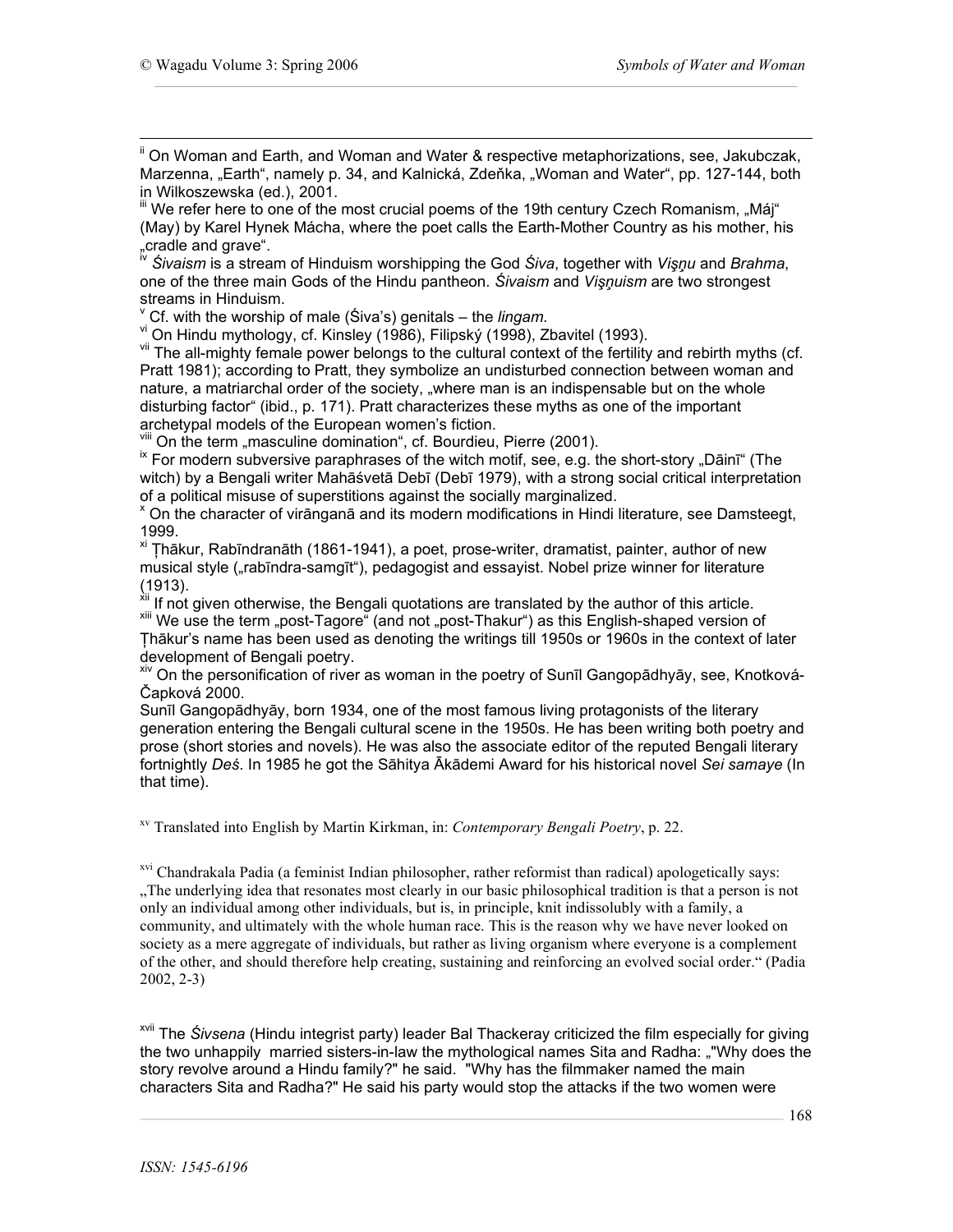<sup>ii</sup> On Woman and Earth, and Woman and Water & respective metaphorizations, see, Jakubczak, Marzenna, "Earth", namely p. 34, and Kalnická, Zdeňka, "Woman and Water", pp. 127-144, both in Wilkoszewska (ed.), 2001.<br><sup>iii</sup> We refer here to one of the most crucial poems of the 19th century Czech Romanism, "Máj"

(May) by Karel Hynek Mácha, where the poet calls the Earth-Mother Country as his mother, his "cradle and grave".<br>
<sup>IV</sup> Sivaiom is a stragge of the the country of the set of the set of the set of the set of the set of the

"cradle and grave". iv *<sup>Ś</sup>ivaism* is <sup>a</sup> stream of Hinduism worshipping the God *<sup>Ś</sup>iva*, together with *Vişņ<sup>u</sup>* and *Brahma*, one of the three main Gods of the Hindu pantheon. *Śivaism* and *Vişņuism* are two strongest

streams in Hinduism.<br><sup>Y</sup> Cf. with the worship of male (Śiva's) genitals – the *lingam.*<br><sup>vi</sup> On Hindu mythology, cf. Kinsley (1986), Filipský (1998), Zbavitel (1993).<br><sup>vil</sup> The all-mighty female power belongs to the cultur Pratt 1981); according to Pratt, they symbolize an undisturbed connection between woman and nature, a matriarchal order of the society, "where man is an indispensable but on the whole disturbing factor" (ibid., p. 171). Pratt characterizes these myths as one of the important archetypal models of the European women's fiction.<br>viii On the term "masculine domination", cf. Bourdieu, Pierre (2001).<br><sup>ix</sup> For modern subversive paraphrases of the witch motif, see, e.g. the short-story "Dāinī" (The

witch) by a Bengali writer Mahāśvetā Debī (Debī 1979), with a strong social critical interpretation of a political misuse of superstitions against the socially marginalized.<br><sup>x</sup> On the character of virānganā and its modern modifications in Hindi literature, see Damsteegt,

1999.<br><sup>xi</sup> Thākur, Rabīndranāth (1861-1941), a poet, prose-writer, dramatist, painter, author of new

musical style ("rabīndra-samgīt"), pedagogist and essayist. Nobel prize winner for literature<br>(1913).<br><sup>XII</sup> If not given athenviae, the Benneli quatations are described as a computer with the computation

<sup>xii</sup> If not given otherwise, the Bengali quotations are translated by the author of this article.<br><sup>xiii</sup> We use the term "post-Tagore" (and not "post-Thakur") as this English-shaped version of Ţhākur's name has been used as denoting the writings till 1950s or 1960s in the context of later

development of Bengali poetry.<br><sup>xiv</sup> On the personification of river as woman in the poetry of Sunīl Gangopādhyāy, see, Knotková-Čapková 2000.

Sunīl Gangopādhyāy, born 1934, one of the most famous living protagonists of the literary generation entering the Bengali cultural scene in the 1950s. He has been writing both poetry and prose (short stories and novels). He was also the associate editor of the reputed Bengali literary fortnightly *Deś*. In 1985 he got the Sāhitya Ākādemi Award for his historical novel *Sei samaye* (In that time).

xv Translated into English by Martin Kirkman, in: *Contemporary Bengali Poetry*, p. 22.

<sup>xvi</sup> Chandrakala Padia (a feminist Indian philosopher, rather reformist than radical) apologetically says: "The underlying idea that resonates most clearly in our basic philosophical tradition is that a person is not only an individual among other individuals, but is, in principle, knit indissolubly with a family, a community, and ultimately with the whole human race. This is the reason why we have never looked on society as a mere aggregate of individuals, but rather as living organism where everyone is a complement of the other, and should therefore help creating, sustaining and reinforcing an evolved social order." (Padia 2002, 2-3)

xvii The *Śivsena* (Hindu integrist party) leader Bal Thackeray criticized the film especially for giving the two unhappily married sisters-in-law the mythological names Sita and Radha: ""Why does the story revolve around a Hindu family?" he said. "Why has the filmmaker named the main characters Sita and Radha?" He said his party would stop the attacks if the two women were